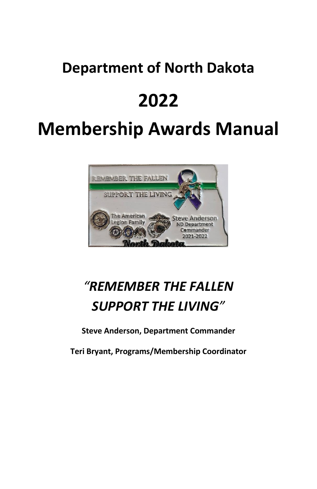## **Department of North Dakota**

# **2022**

# **Membership Awards Manual**



## *"REMEMBER THE FALLEN SUPPORT THE LIVING"*

**Steve Anderson, Department Commander**

**Teri Bryant, Programs/Membership Coordinator**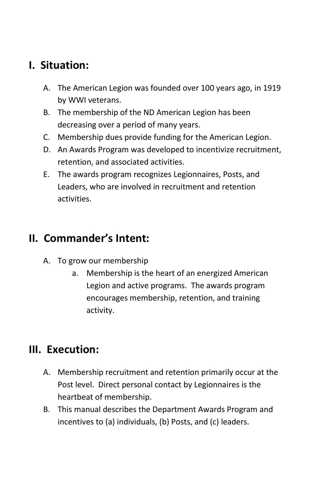## **I. Situation:**

- A. The American Legion was founded over 100 years ago, in 1919 by WWI veterans.
- B. The membership of the ND American Legion has been decreasing over a period of many years.
- C. Membership dues provide funding for the American Legion.
- D. An Awards Program was developed to incentivize recruitment, retention, and associated activities.
- E. The awards program recognizes Legionnaires, Posts, and Leaders, who are involved in recruitment and retention activities.

## **II. Commander's Intent:**

- A. To grow our membership
	- a. Membership is the heart of an energized American Legion and active programs. The awards program encourages membership, retention, and training activity.

## **III. Execution:**

- A. Membership recruitment and retention primarily occur at the Post level. Direct personal contact by Legionnaires is the heartbeat of membership.
- B. This manual describes the Department Awards Program and incentives to (a) individuals, (b) Posts, and (c) leaders.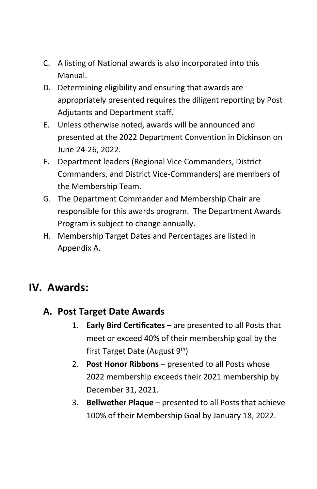- C. A listing of National awards is also incorporated into this Manual.
- D. Determining eligibility and ensuring that awards are appropriately presented requires the diligent reporting by Post Adjutants and Department staff.
- E. Unless otherwise noted, awards will be announced and presented at the 2022 Department Convention in Dickinson on June 24-26, 2022.
- F. Department leaders (Regional Vice Commanders, District Commanders, and District Vice-Commanders) are members of the Membership Team.
- G. The Department Commander and Membership Chair are responsible for this awards program. The Department Awards Program is subject to change annually.
- H. Membership Target Dates and Percentages are listed in Appendix A.

## **IV. Awards:**

### **A. Post Target Date Awards**

- 1. **Early Bird Certificates** are presented to all Posts that meet or exceed 40% of their membership goal by the first Target Date (August 9<sup>th</sup>)
- 2. **Post Honor Ribbons** presented to all Posts whose 2022 membership exceeds their 2021 membership by December 31, 2021.
- 3. **Bellwether Plaque** presented to all Posts that achieve 100% of their Membership Goal by January 18, 2022.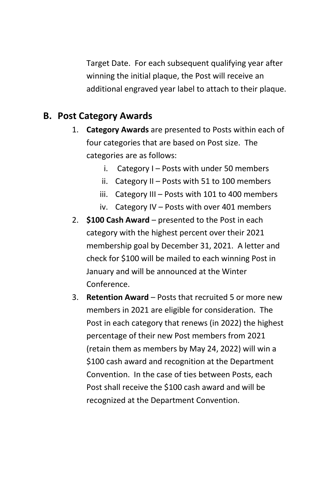Target Date. For each subsequent qualifying year after winning the initial plaque, the Post will receive an additional engraved year label to attach to their plaque.

### **B. Post Category Awards**

- 1. **Category Awards** are presented to Posts within each of four categories that are based on Post size. The categories are as follows:
	- i. Category  $I -$  Posts with under 50 members
	- ii. Category II Posts with 51 to 100 members
	- iii. Category III Posts with 101 to 400 members
	- iv. Category IV Posts with over 401 members
- 2. **\$100 Cash Award** presented to the Post in each category with the highest percent over their 2021 membership goal by December 31, 2021. A letter and check for \$100 will be mailed to each winning Post in January and will be announced at the Winter Conference.
- 3. **Retention Award** Posts that recruited 5 or more new members in 2021 are eligible for consideration. The Post in each category that renews (in 2022) the highest percentage of their new Post members from 2021 (retain them as members by May 24, 2022) will win a \$100 cash award and recognition at the Department Convention. In the case of ties between Posts, each Post shall receive the \$100 cash award and will be recognized at the Department Convention.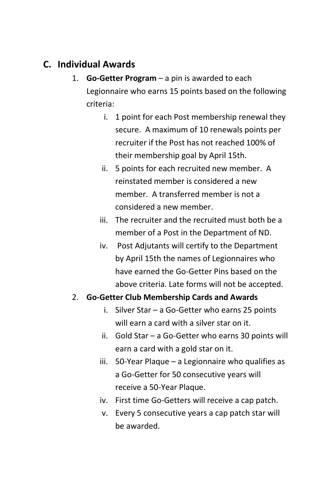## **C. Individual Awards**

- 1. **Go-Getter Program** a pin is awarded to each Legionnaire who earns 15 points based on the following criteria:
	- i. 1 point for each Post membership renewal they secure. A maximum of 10 renewals points per recruiter if the Post has not reached 100% of their membership goal by April 15th.
	- ii. 5 points for each recruited new member. A reinstated member is considered a new member. A transferred member is not a considered a new member.
	- iii. The recruiter and the recruited must both be a member of a Post in the Department of ND.
	- iv. Post Adjutants will certify to the Department by April 15th the names of Legionnaires who have earned the Go-Getter Pins based on the above criteria. Late forms will not be accepted.

#### 2. **Go-Getter Club Membership Cards and Awards**

- i. Silver Star a Go-Getter who earns 25 points will earn a card with a silver star on it.
- ii. Gold Star a Go-Getter who earns 30 points will earn a card with a gold star on it.
- iii. 50-Year Plaque a Legionnaire who qualifies as a Go-Getter for 50 consecutive years will receive a 50-Year Plaque.
- iv. First time Go-Getters will receive a cap patch.
- v. Every 5 consecutive years a cap patch star will be awarded.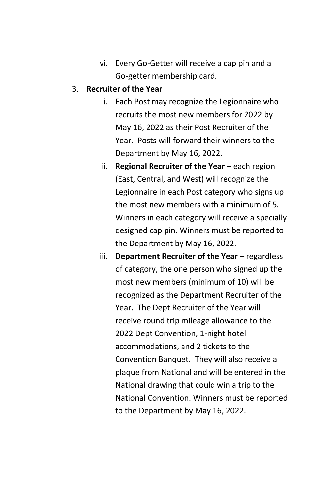vi. Every Go-Getter will receive a cap pin and a Go-getter membership card.

#### 3. **Recruiter of the Year**

- i. Each Post may recognize the Legionnaire who recruits the most new members for 2022 by May 16, 2022 as their Post Recruiter of the Year. Posts will forward their winners to the Department by May 16, 2022.
- ii. **Regional Recruiter of the Year** each region (East, Central, and West) will recognize the Legionnaire in each Post category who signs up the most new members with a minimum of 5. Winners in each category will receive a specially designed cap pin. Winners must be reported to the Department by May 16, 2022.
- iii. **Department Recruiter of the Year** regardless of category, the one person who signed up the most new members (minimum of 10) will be recognized as the Department Recruiter of the Year. The Dept Recruiter of the Year will receive round trip mileage allowance to the 2022 Dept Convention, 1-night hotel accommodations, and 2 tickets to the Convention Banquet. They will also receive a plaque from National and will be entered in the National drawing that could win a trip to the National Convention. Winners must be reported to the Department by May 16, 2022.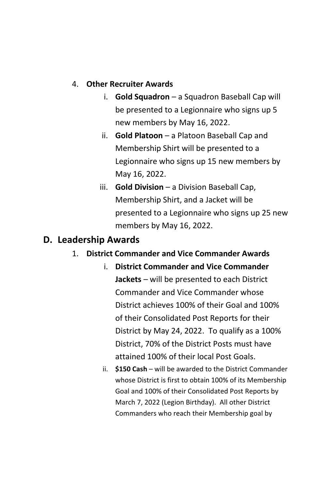#### 4. **Other Recruiter Awards**

- i. **Gold Squadron** a Squadron Baseball Cap will be presented to a Legionnaire who signs up 5 new members by May 16, 2022.
- ii. **Gold Platoon** a Platoon Baseball Cap and Membership Shirt will be presented to a Legionnaire who signs up 15 new members by May 16, 2022.
- iii. **Gold Division** a Division Baseball Cap, Membership Shirt, and a Jacket will be presented to a Legionnaire who signs up 25 new members by May 16, 2022.

### **D. Leadership Awards**

#### 1. **District Commander and Vice Commander Awards**

- i. **District Commander and Vice Commander Jackets** – will be presented to each District Commander and Vice Commander whose District achieves 100% of their Goal and 100% of their Consolidated Post Reports for their District by May 24, 2022. To qualify as a 100% District, 70% of the District Posts must have attained 100% of their local Post Goals.
- ii. **\$150 Cash** will be awarded to the District Commander whose District is first to obtain 100% of its Membership Goal and 100% of their Consolidated Post Reports by March 7, 2022 (Legion Birthday). All other District Commanders who reach their Membership goal by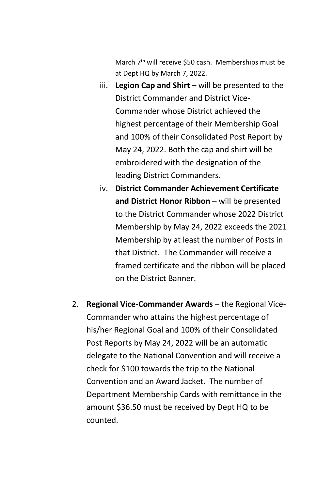March 7<sup>th</sup> will receive \$50 cash. Memberships must be at Dept HQ by March 7, 2022.

- iii. **Legion Cap and Shirt** will be presented to the District Commander and District Vice-Commander whose District achieved the highest percentage of their Membership Goal and 100% of their Consolidated Post Report by May 24, 2022. Both the cap and shirt will be embroidered with the designation of the leading District Commanders.
- iv. **District Commander Achievement Certificate and District Honor Ribbon** – will be presented to the District Commander whose 2022 District Membership by May 24, 2022 exceeds the 2021 Membership by at least the number of Posts in that District. The Commander will receive a framed certificate and the ribbon will be placed on the District Banner.
- 2. **Regional Vice-Commander Awards** the Regional Vice-Commander who attains the highest percentage of his/her Regional Goal and 100% of their Consolidated Post Reports by May 24, 2022 will be an automatic delegate to the National Convention and will receive a check for \$100 towards the trip to the National Convention and an Award Jacket. The number of Department Membership Cards with remittance in the amount \$36.50 must be received by Dept HQ to be counted.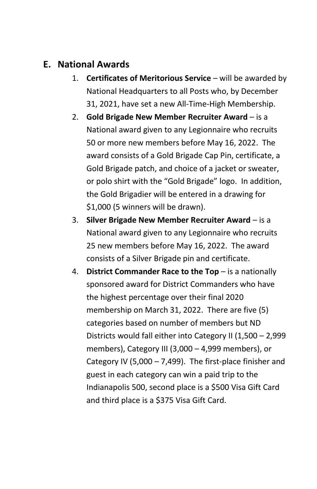## **E. National Awards**

- 1. **Certificates of Meritorious Service** will be awarded by National Headquarters to all Posts who, by December 31, 2021, have set a new All-Time-High Membership.
- 2. **Gold Brigade New Member Recruiter Award** is a National award given to any Legionnaire who recruits 50 or more new members before May 16, 2022. The award consists of a Gold Brigade Cap Pin, certificate, a Gold Brigade patch, and choice of a jacket or sweater, or polo shirt with the "Gold Brigade" logo. In addition, the Gold Brigadier will be entered in a drawing for \$1,000 (5 winners will be drawn).
- 3. **Silver Brigade New Member Recruiter Award**  is a National award given to any Legionnaire who recruits 25 new members before May 16, 2022. The award consists of a Silver Brigade pin and certificate.
- 4. **District Commander Race to the Top** is a nationally sponsored award for District Commanders who have the highest percentage over their final 2020 membership on March 31, 2022. There are five (5) categories based on number of members but ND Districts would fall either into Category II (1,500 – 2,999 members), Category III (3,000 – 4,999 members), or Category IV (5,000 – 7,499). The first-place finisher and guest in each category can win a paid trip to the Indianapolis 500, second place is a \$500 Visa Gift Card and third place is a \$375 Visa Gift Card.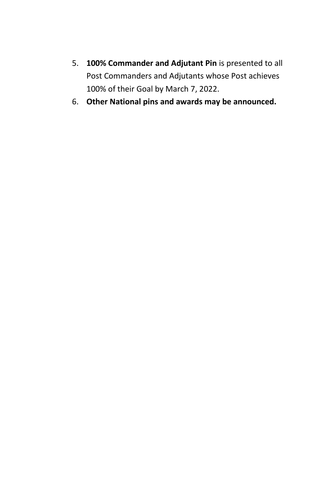- 5. **100% Commander and Adjutant Pin** is presented to all Post Commanders and Adjutants whose Post achieves 100% of their Goal by March 7, 2022.
- 6. **Other National pins and awards may be announced.**